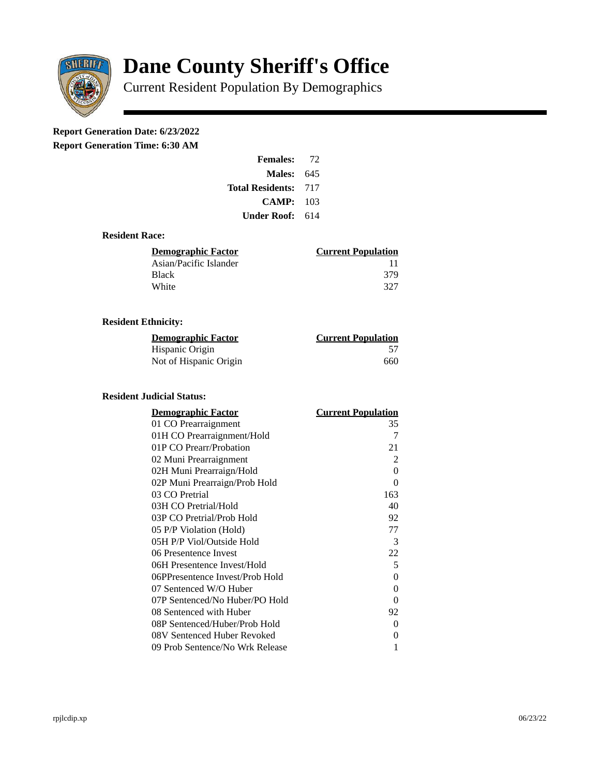

# **Dane County Sheriff's Office**

Current Resident Population By Demographics

# **Report Generation Date: 6/23/2022**

**Report Generation Time: 6:30 AM** 

| <b>Females:</b>  | 72  |
|------------------|-----|
| Males:           | 645 |
| Total Residents: | 717 |
| <b>CAMP:</b>     | 103 |
| Under Roof:      | 614 |

## **Resident Race:**

| Demographic Factor     | <b>Current Population</b> |
|------------------------|---------------------------|
| Asian/Pacific Islander | 11                        |
| Black                  | 379                       |
| White                  | 327                       |
|                        |                           |

## **Resident Ethnicity:**

| <u>Demographic Factor</u> | <b>Current Population</b> |
|---------------------------|---------------------------|
| Hispanic Origin           | 57                        |
| Not of Hispanic Origin    | 660                       |

# **Resident Judicial Status:**

| <b>Demographic Factor</b>       | <b>Current Population</b> |
|---------------------------------|---------------------------|
| 01 CO Prearraignment            | 35                        |
| 01H CO Prearraignment/Hold      | 7                         |
| 01P CO Prearr/Probation         | 21                        |
| 02 Muni Prearraignment          | $\overline{2}$            |
| 02H Muni Prearraign/Hold        | 0                         |
| 02P Muni Prearraign/Prob Hold   | 0                         |
| 03 CO Pretrial                  | 163                       |
| 03H CO Pretrial/Hold            | 40                        |
| 03P CO Pretrial/Prob Hold       | 92                        |
| 05 P/P Violation (Hold)         | 77                        |
| 05H P/P Viol/Outside Hold       | 3                         |
| 06 Presentence Invest           | 22                        |
| 06H Presentence Invest/Hold     | 5                         |
| 06PPresentence Invest/Prob Hold | 0                         |
| 07 Sentenced W/O Huber          | 0                         |
| 07P Sentenced/No Huber/PO Hold  | 0                         |
| 08 Sentenced with Huber         | 92                        |
| 08P Sentenced/Huber/Prob Hold   | O                         |
| 08V Sentenced Huber Revoked     | 0                         |
| 09 Prob Sentence/No Wrk Release | 1                         |